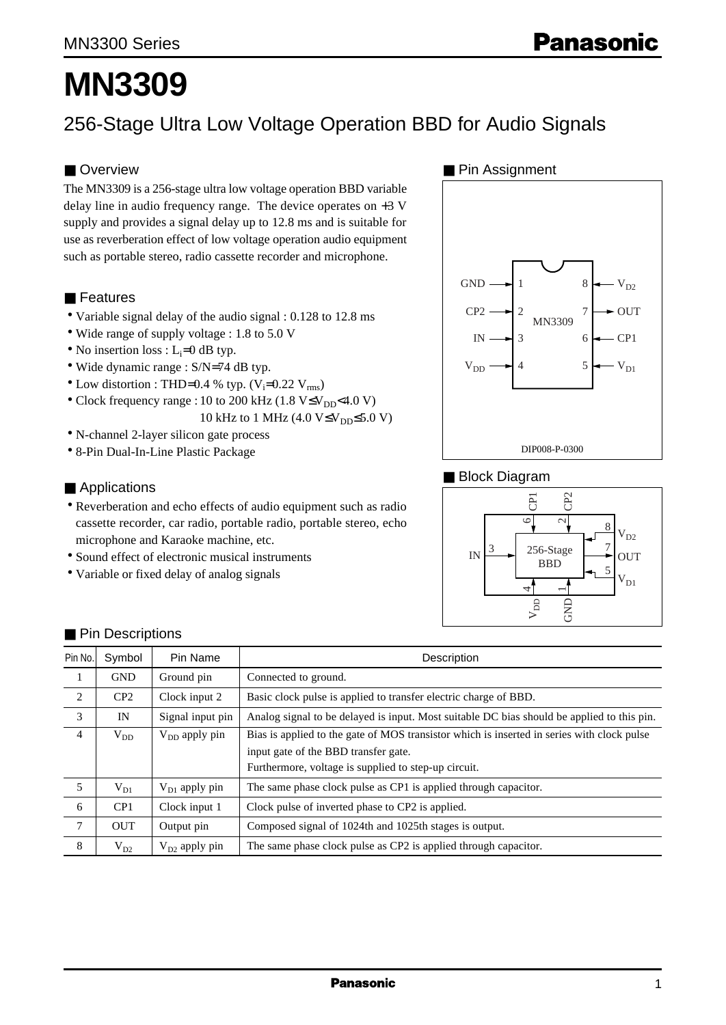# **MN3309**

# 256-Stage Ultra Low Voltage Operation BBD for Audio Signals

## ■ Overview

The MN3309 is a 256-stage ultra low voltage operation BBD variable delay line in audio frequency range. The device operates on +3 V supply and provides a signal delay up to 12.8 ms and is suitable for use as reverberation effect of low voltage operation audio equipment such as portable stereo, radio cassette recorder and microphone.

#### ■ Features

- Variable signal delay of the audio signal : 0.128 to 12.8 ms
- Wide range of supply voltage : 1.8 to 5.0 V
- No insertion loss :  $L_i=0$  dB typ.
- Wide dynamic range : S/N=74 dB typ.
- Low distortion : THD=0.4 % typ.  $(V_i=0.22 V_{rms})$
- Clock frequency range : 10 to 200 kHz (1.8 V≤V<sub>DD</sub><4.0 V) 10 kHz to 1 MHz  $(4.0 V \le V_{DD} \le 5.0 V)$
- N-channel 2-layer silicon gate process
- 8-Pin Dual-In-Line Plastic Package

#### ■ Applications

- Reverberation and echo effects of audio equipment such as radio cassette recorder, car radio, portable radio, portable stereo, echo microphone and Karaoke machine, etc.
- Sound effect of electronic musical instruments
- Variable or fixed delay of analog signals

#### ■ Pin Assignment



#### ■ Block Diagram



| Pin No.        | Symbol     | Pin Name           | Description                                                                                |
|----------------|------------|--------------------|--------------------------------------------------------------------------------------------|
| 1              | <b>GND</b> | Ground pin         | Connected to ground.                                                                       |
| $\overline{2}$ | CP2        | Clock input 2      | Basic clock pulse is applied to transfer electric charge of BBD.                           |
| 3              | IN         | Signal input pin   | Analog signal to be delayed is input. Most suitable DC bias should be applied to this pin. |
| $\overline{4}$ | $V_{DD}$   | $V_{DD}$ apply pin | Bias is applied to the gate of MOS transistor which is inserted in series with clock pulse |
|                |            |                    | input gate of the BBD transfer gate.                                                       |
|                |            |                    | Furthermore, voltage is supplied to step-up circuit.                                       |
| 5              | $V_{D1}$   | $V_{D1}$ apply pin | The same phase clock pulse as CP1 is applied through capacitor.                            |
| 6              | CP1        | Clock input 1      | Clock pulse of inverted phase to CP2 is applied.                                           |
| $\tau$         | <b>OUT</b> | Output pin         | Composed signal of 1024th and 1025th stages is output.                                     |
| 8              | $V_{D2}$   | $V_{D2}$ apply pin | The same phase clock pulse as CP2 is applied through capacitor.                            |

#### ■ Pin Descriptions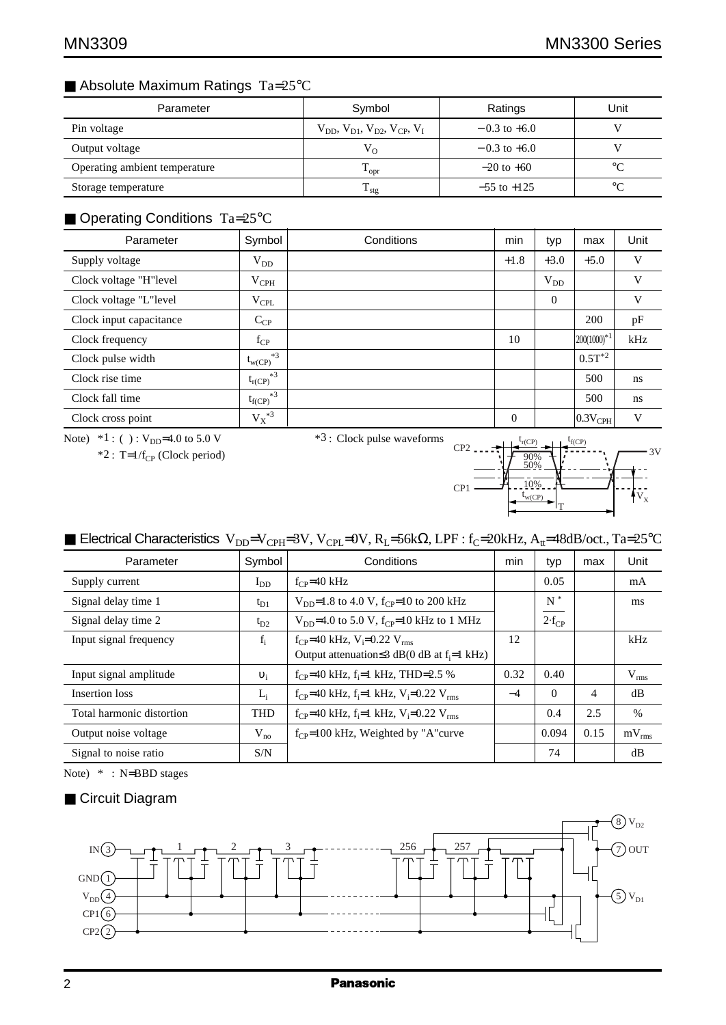# ■ Absolute Maximum Ratings Ta=25°C

| Parameter                     | Symbol                                              | Ratings          | Unit        |
|-------------------------------|-----------------------------------------------------|------------------|-------------|
| Pin voltage                   | $V_{DD}$ , $V_{D1}$ , $V_{D2}$ , $V_{CP}$ , $V_{L}$ | $-0.3$ to $+6.0$ |             |
| Output voltage                | $V_{O}$                                             | $-0.3$ to $+6.0$ |             |
| Operating ambient temperature | $\rm T_{\rm opr}$                                   | $-20$ to $+60$   | $^{\circ}C$ |
| Storage temperature           | $T_{\text{stg}}$                                    | $-55$ to $+125$  | $^{\circ}C$ |

# ■ Operating Conditions Ta=25°C

| Parameter               | Symbol              | Conditions | min      | typ      | max                   | Unit |
|-------------------------|---------------------|------------|----------|----------|-----------------------|------|
| Supply voltage          | $V_{DD}$            |            | $+1.8$   | $+3.0$   | $+5.0$                | V    |
| Clock voltage "H"level  | $V_{\rm{CPH}}$      |            |          | $V_{DD}$ |                       | V    |
| Clock voltage "L"level  | $V_{\rm CPL}$       |            |          | $\Omega$ |                       | V    |
| Clock input capacitance | $C_{CP}$            |            |          |          | 200                   | pF   |
| Clock frequency         | $f_{CP}$            |            | 10       |          | $ 200(1000)^{*1} $    | kHz  |
| Clock pulse width       | $*3$<br>$t_{w(CP)}$ |            |          |          | $0.5T^{*2}$           |      |
| Clock rise time         | $*3$<br>$t_{r(CP)}$ |            |          |          | 500                   | ns   |
| Clock fall time         | $*3$<br>$t_{f(CP)}$ |            |          |          | 500                   | ns   |
| Clock cross point       | $\mathbf{V_X}^{*3}$ |            | $\theta$ |          | $ 0.3V_{\text{CPH}} $ | V    |

Note)  $*1$  : ( ) :  $V_{DD}$ =4.0 to 5.0 V

 $*2$ : T=1/f<sub>CP</sub> (Clock period)

\*3 : Clock pulse waveforms

 $V_{X}$ 3V t  $t_{r(CP)}$   $t_{f(CP)}$ CP<sub>2</sub>  $CP1$ w(CP) 90% 50% 10% T

# ■ Electrical Characteristics V<sub>DD</sub>=V<sub>CPH</sub>=3V, V<sub>CPL</sub>=0V, R<sub>L</sub>=56kΩ, LPF : f<sub>C</sub>=20kHz, A<sub>tt</sub>=48dB/oct., Ta=25°C

| Parameter                 | Symbol     | Conditions                                                                     | min  | typ        | max  | Unit       |
|---------------------------|------------|--------------------------------------------------------------------------------|------|------------|------|------------|
| Supply current            | $I_{DD}$   | $f_{CP} = 40$ kHz                                                              |      | 0.05       |      | mA         |
| Signal delay time 1       | $t_{D1}$   | $V_{\text{DD}}=1.8$ to 4.0 V, f <sub>CP</sub> =10 to 200 kHz                   |      | $N^*$      |      | ms         |
| Signal delay time 2       | $t_{D2}$   | $V_{DD}$ =4.0 to 5.0 V, f <sub>CP</sub> =10 kHz to 1 MHz                       |      | $2-f_{CP}$ |      |            |
| Input signal frequency    | $f_i$      | $f_{CP}$ =40 kHz, V <sub>i</sub> =0.22 V <sub>rms</sub>                        | 12   |            |      | kHz        |
|                           |            | Output attenuation $\leq$ 3 dB(0 dB at f <sub>i</sub> =1 kHz)                  |      |            |      |            |
| Input signal amplitude    | $v_i$      | $f_{CP}$ =40 kHz, $f_i$ =1 kHz, THD=2.5 %                                      | 0.32 | 0.40       |      | $V_{rms}$  |
| Insertion loss            | $L_i$      | $f_{CP}$ =40 kHz, f <sub>i</sub> =1 kHz, V <sub>i</sub> =0.22 V <sub>rms</sub> | $-4$ | $\Omega$   | 4    | dB         |
| Total harmonic distortion | <b>THD</b> | $f_{CP}$ =40 kHz, $f_i$ =1 kHz, $V_i$ =0.22 $V_{rms}$                          |      | 0.4        | 2.5  | $\%$       |
| Output noise voltage      | $V_{no}$   | $f_{CP}$ =100 kHz, Weighted by "A"curve                                        |      | 0.094      | 0.15 | $mV_{rms}$ |
| Signal to noise ratio     | S/N        |                                                                                |      | 74         |      | dB         |

Note) \* : N=BBD stages

#### ■ Circuit Diagram

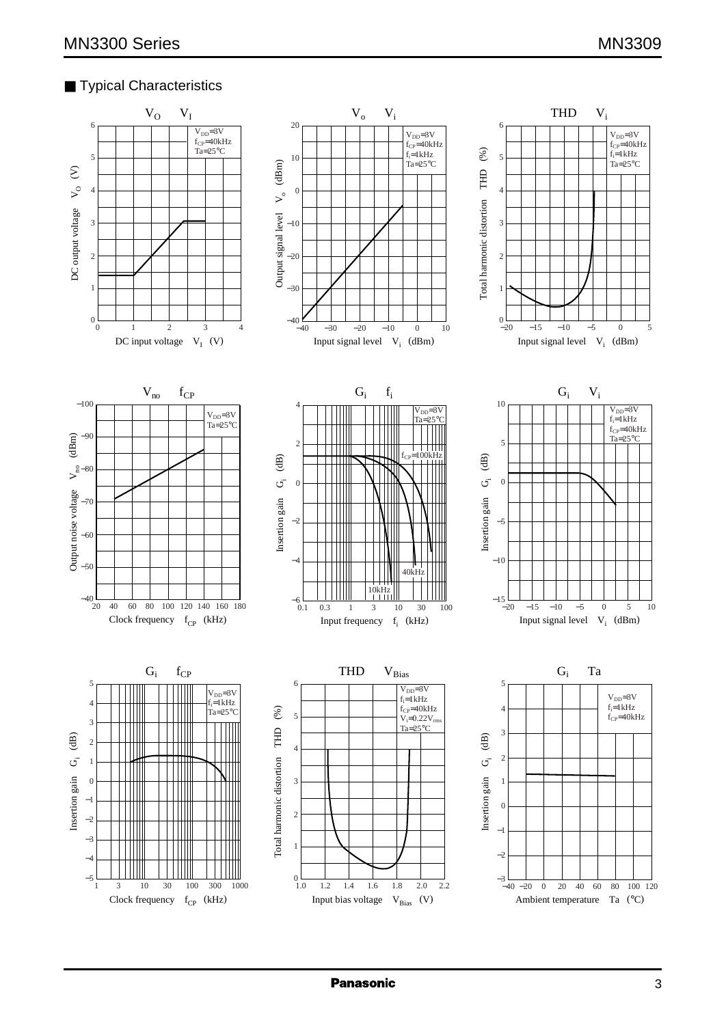## ■ Typical Characteristics

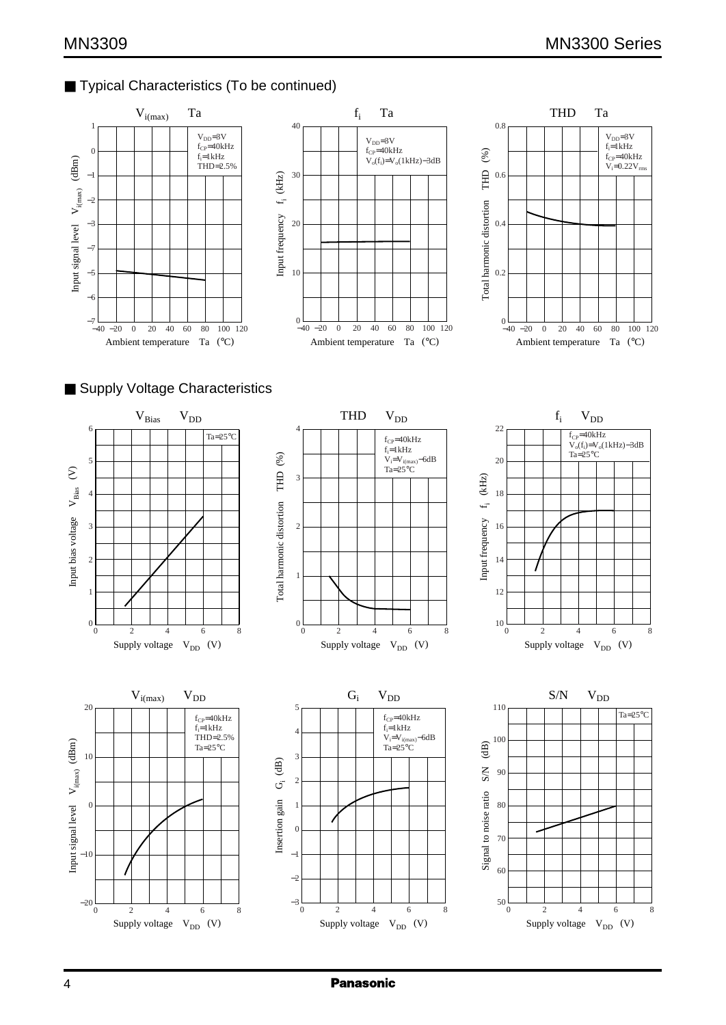# ■ Typical Characteristics (To be continued)